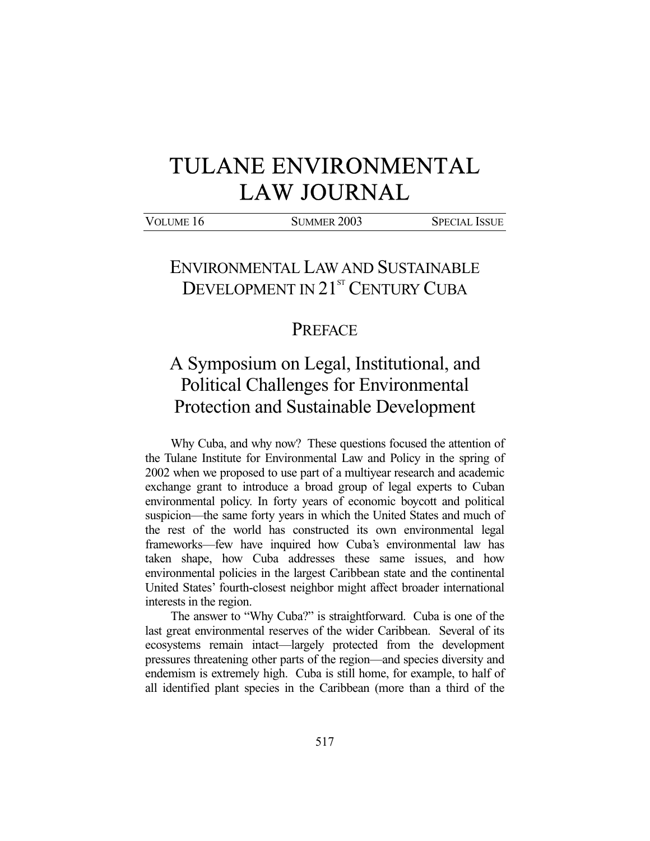## TULANE ENVIRONMENTAL LAW JOURNAL

VOLUME 16 SUMMER 2003 SPECIAL ISSUE

## ENVIRONMENTAL LAW AND SUSTAINABLE DEVELOPMENT IN 21<sup>ST</sup> CENTURY CUBA

## PREFACE

## A Symposium on Legal, Institutional, and Political Challenges for Environmental Protection and Sustainable Development

 Why Cuba, and why now? These questions focused the attention of the Tulane Institute for Environmental Law and Policy in the spring of 2002 when we proposed to use part of a multiyear research and academic exchange grant to introduce a broad group of legal experts to Cuban environmental policy. In forty years of economic boycott and political suspicion—the same forty years in which the United States and much of the rest of the world has constructed its own environmental legal frameworks—few have inquired how Cuba's environmental law has taken shape, how Cuba addresses these same issues, and how environmental policies in the largest Caribbean state and the continental United States' fourth-closest neighbor might affect broader international interests in the region.

 The answer to "Why Cuba?" is straightforward. Cuba is one of the last great environmental reserves of the wider Caribbean. Several of its ecosystems remain intact—largely protected from the development pressures threatening other parts of the region—and species diversity and endemism is extremely high. Cuba is still home, for example, to half of all identified plant species in the Caribbean (more than a third of the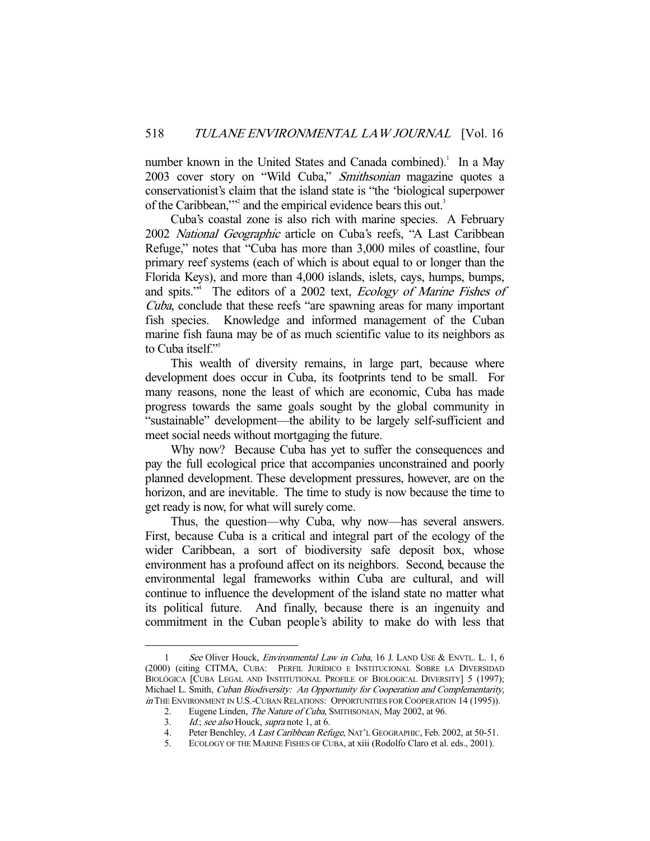number known in the United States and Canada combined).<sup>1</sup> In a May 2003 cover story on "Wild Cuba," Smithsonian magazine quotes a conservationist's claim that the island state is "the 'biological superpower of the Caribbean,"<sup>2</sup> and the empirical evidence bears this out.<sup>3</sup>

 Cuba's coastal zone is also rich with marine species. A February 2002 National Geographic article on Cuba's reefs, "A Last Caribbean Refuge," notes that "Cuba has more than 3,000 miles of coastline, four primary reef systems (each of which is about equal to or longer than the Florida Keys), and more than 4,000 islands, islets, cays, humps, bumps, and spits."<sup>4</sup> The editors of a 2002 text, *Ecology of Marine Fishes of* Cuba, conclude that these reefs "are spawning areas for many important fish species. Knowledge and informed management of the Cuban marine fish fauna may be of as much scientific value to its neighbors as to Cuba itself."<sup>5</sup>

 This wealth of diversity remains, in large part, because where development does occur in Cuba, its footprints tend to be small. For many reasons, none the least of which are economic, Cuba has made progress towards the same goals sought by the global community in "sustainable" development—the ability to be largely self-sufficient and meet social needs without mortgaging the future.

 Why now? Because Cuba has yet to suffer the consequences and pay the full ecological price that accompanies unconstrained and poorly planned development. These development pressures, however, are on the horizon, and are inevitable. The time to study is now because the time to get ready is now, for what will surely come.

 Thus, the question—why Cuba, why now—has several answers. First, because Cuba is a critical and integral part of the ecology of the wider Caribbean, a sort of biodiversity safe deposit box, whose environment has a profound affect on its neighbors. Second, because the environmental legal frameworks within Cuba are cultural, and will continue to influence the development of the island state no matter what its political future. And finally, because there is an ingenuity and commitment in the Cuban people's ability to make do with less that

<sup>-</sup>1 See Oliver Houck, *Environmental Law in Cuba*, 16 J. LAND USE & ENVTL, L. 1, 6 (2000) (citing CITMA, CUBA: PERFIL JURÍDICO E INSTITUCIONAL SOBRE LA DIVERSIDAD BIOLÓGICA [CUBA LEGAL AND INSTITUTIONAL PROFILE OF BIOLOGICAL DIVERSITY] 5 (1997); Michael L. Smith, Cuban Biodiversity: An Opportunity for Cooperation and Complementarity, in THE ENVIRONMENT IN U.S.-CUBAN RELATIONS: OPPORTUNITIES FOR COOPERATION 14 (1995)).

<sup>2.</sup> Eugene Linden, The Nature of Cuba, SMITHSONIAN, May 2002, at 96. 3. *Id.*; see also Houck, supra note 1, at 6.

<sup>4.</sup> Peter Benchley, A Last Caribbean Refuge, NAT'L GEOGRAPHIC, Feb. 2002, at 50-51.

 <sup>5.</sup> ECOLOGY OF THE MARINE FISHES OF CUBA, at xiii (Rodolfo Claro et al. eds., 2001).